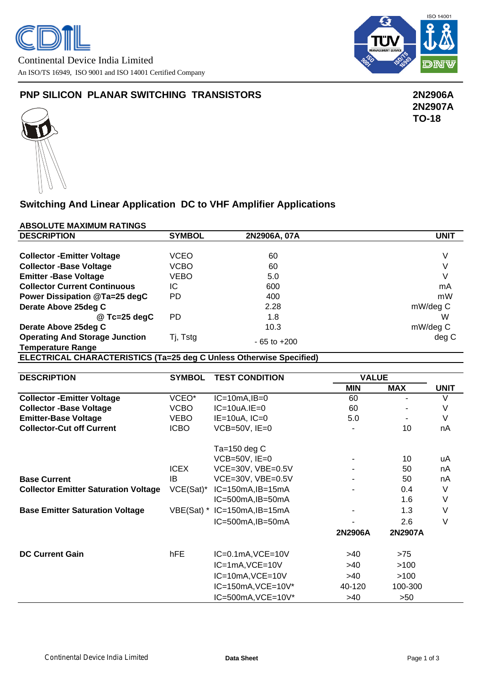

### **PNP SILICON PLANAR SWITCHING TRANSISTORS 2N2906A**

 **2N2907A TO-18**

# **Switching And Linear Application DC to VHF Amplifier Applications**

#### **ABSOLUTE MAXIMUM RATINGS**

| <b>DESCRIPTION</b>                                                  | <b>SYMBOL</b>                    | 2N2906A, 07A                 | <b>UNIT</b>  |                |             |
|---------------------------------------------------------------------|----------------------------------|------------------------------|--------------|----------------|-------------|
|                                                                     |                                  |                              |              |                |             |
| <b>Collector - Emitter Voltage</b>                                  | <b>VCEO</b>                      | 60                           |              |                | $\vee$      |
| <b>Collector -Base Voltage</b>                                      | <b>VCBO</b>                      | 60                           |              |                | $\vee$      |
| <b>Emitter-Base Voltage</b>                                         | <b>VEBO</b>                      | 5.0                          | $\vee$       |                |             |
| <b>Collector Current Continuous</b>                                 | IC                               | 600                          | mA           |                |             |
| Power Dissipation @Ta=25 degC                                       | PD                               | 400                          | mW           |                |             |
| Derate Above 25deg C                                                |                                  | 2.28                         | mW/deg C     |                |             |
| @ Tc=25 degC                                                        | <b>PD</b>                        | 1.8                          | W            |                |             |
| Derate Above 25deg C                                                |                                  | 10.3                         | mW/deg C     |                |             |
| <b>Operating And Storage Junction</b>                               | Tj, Tstg                         | $-65$ to $+200$              |              |                | deg C       |
| <b>Temperature Range</b>                                            |                                  |                              |              |                |             |
| ELECTRICAL CHARACTERISTICS (Ta=25 deg C Unless Otherwise Specified) |                                  |                              |              |                |             |
|                                                                     |                                  |                              |              |                |             |
| <b>DESCRIPTION</b>                                                  | <b>SYMBOL</b>                    | <b>TEST CONDITION</b>        | <b>VALUE</b> |                |             |
|                                                                     |                                  |                              | <b>MIN</b>   | <b>MAX</b>     | <b>UNIT</b> |
| <b>Collector - Emitter Voltage</b>                                  | VCEO*                            | $IC=10mA$ , $IB=0$           | 60           |                | $\vee$      |
| <b>Collector -Base Voltage</b>                                      | <b>VCBO</b>                      | $IC=10uA.IE=0$               | 60           |                | V           |
| <b>Emitter-Base Voltage</b>                                         | <b>VEBO</b>                      | $IE=10uA, IC=0$              | 5.0          | $\blacksquare$ | $\vee$      |
| <b>Collector-Cut off Current</b>                                    | <b>ICBO</b>                      | $VCB=50V$ , $IE=0$           |              | 10             | nA          |
|                                                                     |                                  |                              |              |                |             |
|                                                                     |                                  | Ta=150 deg $C$               |              |                |             |
|                                                                     |                                  | $VCB=50V$ , $IE=0$           |              | 10             | uA          |
|                                                                     | <b>ICEX</b><br>VCE=30V, VBE=0.5V |                              |              | 50             | nA          |
| <b>Base Current</b>                                                 | <b>IB</b>                        | VCE=30V, VBE=0.5V            |              | 50             | nA          |
| <b>Collector Emitter Saturation Voltage</b>                         | $VCE(Sat)^*$                     | $IC=150mA$ , $IB=15mA$       |              | 0.4            | V           |
|                                                                     |                                  | IC=500mA, IB=50mA            |              | 1.6            | V           |
| <b>Base Emitter Saturation Voltage</b>                              |                                  | VBE(Sat) * IC=150mA, IB=15mA |              | 1.3            | $\vee$      |
|                                                                     |                                  | IC=500mA, IB=50mA            |              | 2.6            | $\vee$      |
|                                                                     |                                  |                              | 2N2906A      | 2N2907A        |             |
|                                                                     |                                  |                              |              |                |             |
| <b>DC Current Gain</b>                                              | hFE                              | $IC=0.1mA$ , $VCE=10V$       | >40          | $>75$          |             |
|                                                                     |                                  | IC=1mA, VCE=10V              | >40          | >100           |             |
|                                                                     |                                  | IC=10mA, VCE=10V             | $>40$        | >100           |             |
|                                                                     |                                  | IC=150mA, VCE=10V*           | 40-120       | 100-300        |             |
|                                                                     |                                  | IC=500mA, VCE=10V*           | >40          | >50            |             |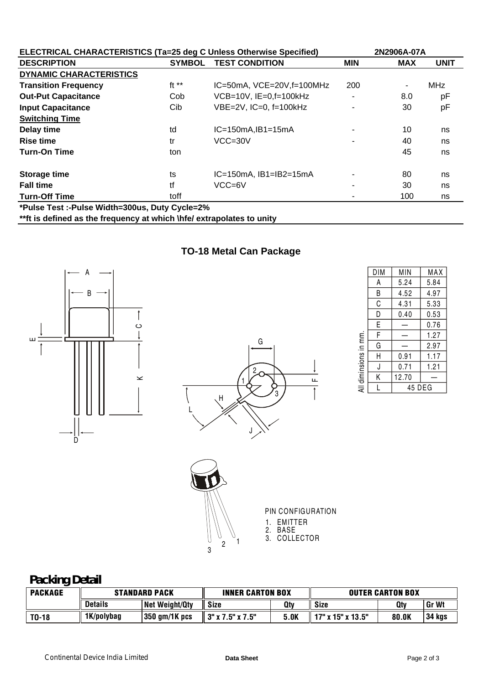| <b>ELECTRICAL CHARACTERISTICS (Ta=25 deg C Unless Otherwise Specified)</b> |                                                |                                    | 2N2906A-07A |            |             |  |  |
|----------------------------------------------------------------------------|------------------------------------------------|------------------------------------|-------------|------------|-------------|--|--|
| <b>DESCRIPTION</b>                                                         | <b>SYMBOL</b>                                  | <b>TEST CONDITION</b>              | <b>MIN</b>  | <b>MAX</b> | <b>UNIT</b> |  |  |
| <b>DYNAMIC CHARACTERISTICS</b>                                             |                                                |                                    |             |            |             |  |  |
| <b>Transition Frequency</b>                                                | ft $**$                                        | $IC=50mA$ , $VCE=20V$ , $f=100MHz$ | 200         | ٠          | <b>MHz</b>  |  |  |
| <b>Out-Put Capacitance</b>                                                 | Cob                                            | $VCB=10V$ , $IE=0$ , $f=100kHz$    |             | 8.0        | рF          |  |  |
| <b>Input Capacitance</b>                                                   | Cib                                            | $VBE=2V$ , $IC=0$ , $f=100kHz$     | ۰           | 30         | pF          |  |  |
| <b>Switching Time</b>                                                      |                                                |                                    |             |            |             |  |  |
| Delay time                                                                 | td                                             | $IC=150mA$ , $IB1=15mA$            | ٠           | 10         | ns          |  |  |
| <b>Rise time</b>                                                           | tr                                             | $VCC = 30V$                        | ۰           | 40         | ns          |  |  |
| <b>Turn-On Time</b>                                                        | ton                                            |                                    |             | 45         | ns          |  |  |
| Storage time                                                               | ts                                             | $IC=150mA$ , $IB1=IB2=15mA$        | ۰           | 80         | ns          |  |  |
| <b>Fall time</b>                                                           | tf                                             | VCC=6V                             | ۰           | 30         | ns          |  |  |
| <b>Turn-Off Time</b>                                                       | toff                                           |                                    |             | 100        | ns          |  |  |
|                                                                            | *Pulse Test :-Pulse Width=300us, Duty Cycle=2% |                                    |             |            |             |  |  |
| **ft is defined as the frequency at which \hfe/ extrapolates to unity      |                                                |                                    |             |            |             |  |  |

**TO-18 Metal Can Package**





|                                                                     | DIM         | MIN   | MAX  |  |
|---------------------------------------------------------------------|-------------|-------|------|--|
| А<br>B<br>C<br>D<br>E<br>F<br>diminsions in mm.<br>G<br>H<br>J<br>Κ |             | 5.24  | 5.84 |  |
|                                                                     |             | 4.52  | 4.97 |  |
|                                                                     |             | 4.31  | 5.33 |  |
|                                                                     |             | 0.40  | 0.53 |  |
|                                                                     |             |       | 0.76 |  |
|                                                                     |             |       | 1.27 |  |
|                                                                     |             |       | 2.97 |  |
|                                                                     |             | 0.91  | 1.17 |  |
|                                                                     |             | 0.71  | 1.21 |  |
|                                                                     |             | 12.70 |      |  |
| ₹                                                                   | 45 DEG<br>L |       |      |  |
|                                                                     |             |       |      |  |



PIN CONFIGURATION 1. EMITTER 2. BASE

## **Packing Detail**

| <b>PACKAGE</b> | <b>STANDARD PACK</b> |                | <b>INNER CARTON BOX</b> |      | <b>OUTER CARTON BOX</b> |       |              |
|----------------|----------------------|----------------|-------------------------|------|-------------------------|-------|--------------|
|                | <b>Details</b>       | Net Weight/Qty | Size                    | Otv  | Size                    | Qty   | <b>Gr Wt</b> |
| $T0-18$        | 1K/polybag           | 350 gm/1K pcs  | ⊢3" x 7.5" x 7.5"       | 5.OK | 17" x 15" x 13.5"       | 80.OK | 34 kgs       |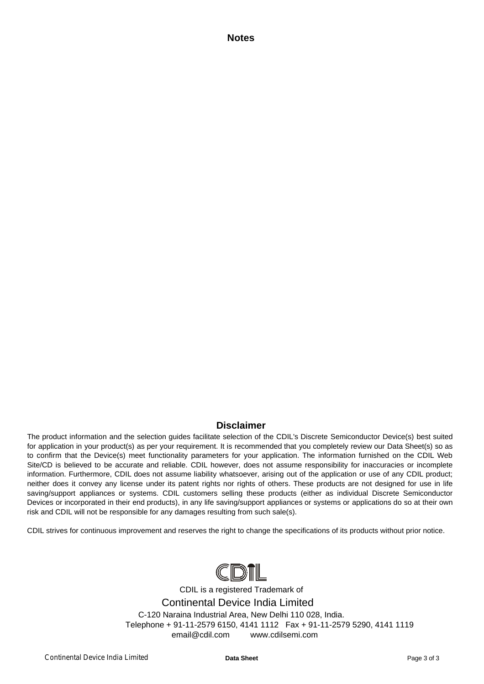**Notes**

#### **Disclaimer**

The product information and the selection guides facilitate selection of the CDIL's Discrete Semiconductor Device(s) best suited for application in your product(s) as per your requirement. It is recommended that you completely review our Data Sheet(s) so as to confirm that the Device(s) meet functionality parameters for your application. The information furnished on the CDIL Web Site/CD is believed to be accurate and reliable. CDIL however, does not assume responsibility for inaccuracies or incomplete information. Furthermore, CDIL does not assume liability whatsoever, arising out of the application or use of any CDIL product; neither does it convey any license under its patent rights nor rights of others. These products are not designed for use in life saving/support appliances or systems. CDIL customers selling these products (either as individual Discrete Semiconductor Devices or incorporated in their end products), in any life saving/support appliances or systems or applications do so at their own risk and CDIL will not be responsible for any damages resulting from such sale(s).

CDIL strives for continuous improvement and reserves the right to change the specifications of its products without prior notice.



CDIL is a registered Trademark of Continental Device India Limited C-120 Naraina Industrial Area, New Delhi 110 028, India. Telephone + 91-11-2579 6150, 4141 1112 Fax + 91-11-2579 5290, 4141 1119 email@cdil.com www.cdilsemi.com